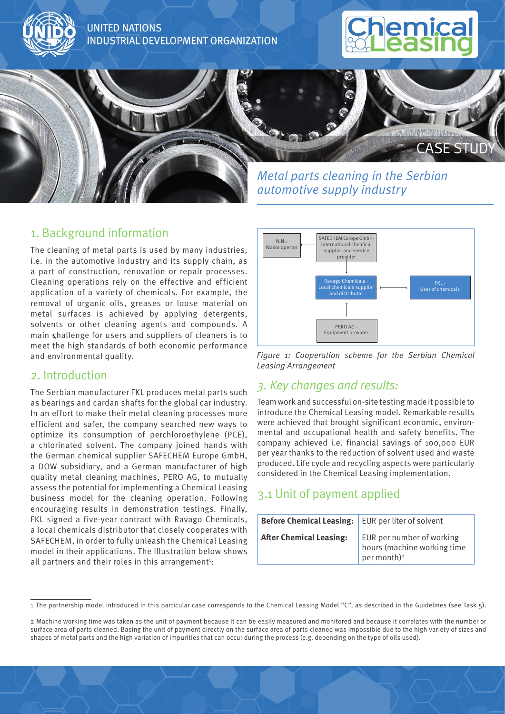

## 1. Background information

The cleaning of metal parts is used by many industries, i.e. in the automotive industry and its supply chain, as a part of construction, renovation or repair processes. Cleaning operations rely on the effective and efficient application of a variety of chemicals. For example, the removal of organic oils, greases or loose material on metal surfaces is achieved by applying detergents, solvents or other cleaning agents and compounds. A main challenge for users and suppliers of cleaners is to meet the high standards of both economic performance and environmental quality.

#### 2. Introduction

The Serbian manufacturer FKL produces metal parts such as bearings and cardan shafts for the global car industry. In an effort to make their metal cleaning processes more efficient and safer, the company searched new ways to optimize its consumption of perchloroethylene (PCE), a chlorinated solvent. The company joined hands with the German chemical supplier SAFECHEM Europe GmbH, a DOW subsidiary, and a German manufacturer of high quality metal cleaning machines, PERO AG, to mutually assess the potential for implementing a Chemical Leasing business model for the cleaning operation. Following encouraging results in demonstration testings. Finally, FKL signed a five-year contract with Ravago Chemicals, a local chemicals distributor that closely cooperates with SAFECHEM, in order to fully unleash the Chemical Leasing model in their applications. The illustration below shows all partners and their roles in this arrangement<sup>1</sup>:



*Figure 1: Cooperation scheme for the Serbian Chemical Leasing Arrangement*

### *3. Key changes and results:*

Team work and successful on-site testing made it possible to introduce the Chemical Leasing model. Remarkable results were achieved that brought significant economic, environmental and occupational health and safety benefits. The company achieved i.e. financial savings of 100,000 EUR per year thanks to the reduction of solvent used and waste produced. Life cycle and recycling aspects were particularly considered in the Chemical Leasing implementation.

# 3.1 Unit of payment applied

| <b>Before Chemical Leasing:</b> | EUR per liter of solvent                                                            |  |
|---------------------------------|-------------------------------------------------------------------------------------|--|
| <b>After Chemical Leasing:</b>  | EUR per number of working<br>hours (machine working time<br>per month) <sup>2</sup> |  |

<sup>1</sup> The partnership model introduced in this particular case corresponds to the Chemical Leasing Model "C", as described in the Guidelines (see Task 5).

<sup>2</sup> Machine working time was taken as the unit of payment because it can be easily measured and monitored and because it correlates with the number or surface area of parts cleaned. Basing the unit of payment directly on the surface area of parts cleaned was impossible due to the high variety of sizes and shapes of metal parts and the high variation of impurities that can occur during the process (e.g. depending on the type of oils used).